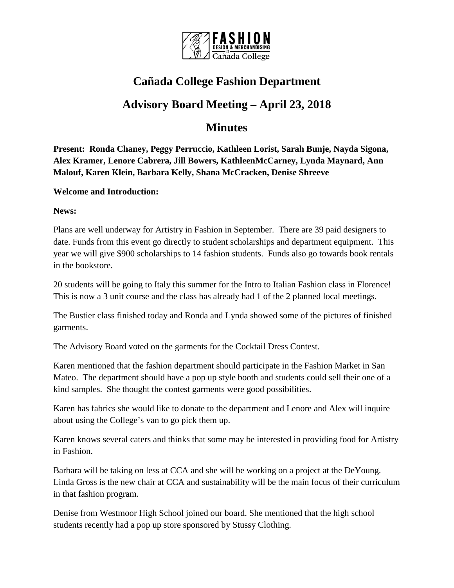

## **Cañada College Fashion Department**

## **Advisory Board Meeting – April 23, 2018**

## **Minutes**

**Present: Ronda Chaney, Peggy Perruccio, Kathleen Lorist, Sarah Bunje, Nayda Sigona, Alex Kramer, Lenore Cabrera, Jill Bowers, KathleenMcCarney, Lynda Maynard, Ann Malouf, Karen Klein, Barbara Kelly, Shana McCracken, Denise Shreeve**

## **Welcome and Introduction:**

**News:**

Plans are well underway for Artistry in Fashion in September. There are 39 paid designers to date. Funds from this event go directly to student scholarships and department equipment. This year we will give \$900 scholarships to 14 fashion students. Funds also go towards book rentals in the bookstore.

20 students will be going to Italy this summer for the Intro to Italian Fashion class in Florence! This is now a 3 unit course and the class has already had 1 of the 2 planned local meetings.

The Bustier class finished today and Ronda and Lynda showed some of the pictures of finished garments.

The Advisory Board voted on the garments for the Cocktail Dress Contest.

Karen mentioned that the fashion department should participate in the Fashion Market in San Mateo. The department should have a pop up style booth and students could sell their one of a kind samples. She thought the contest garments were good possibilities.

Karen has fabrics she would like to donate to the department and Lenore and Alex will inquire about using the College's van to go pick them up.

Karen knows several caters and thinks that some may be interested in providing food for Artistry in Fashion.

Barbara will be taking on less at CCA and she will be working on a project at the DeYoung. Linda Gross is the new chair at CCA and sustainability will be the main focus of their curriculum in that fashion program.

Denise from Westmoor High School joined our board. She mentioned that the high school students recently had a pop up store sponsored by Stussy Clothing.